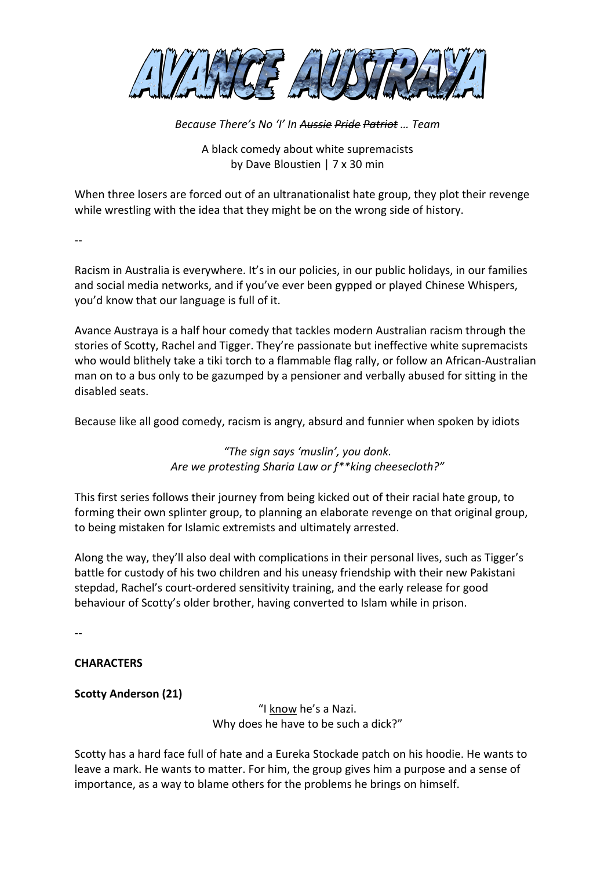

*Because There's No 'I' In Aussie Pride Patriot … Team*

# A black comedy about white supremacists by Dave Bloustien | 7 x 30 min

When three losers are forced out of an ultranationalist hate group, they plot their revenge while wrestling with the idea that they might be on the wrong side of history.

--

Racism in Australia is everywhere. It's in our policies, in our public holidays, in our families and social media networks, and if you've ever been gypped or played Chinese Whispers, you'd know that our language is full of it.

Avance Austraya is a half hour comedy that tackles modern Australian racism through the stories of Scotty, Rachel and Tigger. They're passionate but ineffective white supremacists who would blithely take a tiki torch to a flammable flag rally, or follow an African-Australian man on to a bus only to be gazumped by a pensioner and verbally abused for sitting in the disabled seats.

Because like all good comedy, racism is angry, absurd and funnier when spoken by idiots

*"The sign says 'muslin', you donk. Are we protesting Sharia Law or f\*\*king cheesecloth?"*

This first series follows their journey from being kicked out of their racial hate group, to forming their own splinter group, to planning an elaborate revenge on that original group, to being mistaken for Islamic extremists and ultimately arrested.

Along the way, they'll also deal with complications in their personal lives, such as Tigger's battle for custody of his two children and his uneasy friendship with their new Pakistani stepdad, Rachel's court-ordered sensitivity training, and the early release for good behaviour of Scotty's older brother, having converted to Islam while in prison.

--

## **CHARACTERS**

## **Scotty Anderson (21)**

"I know he's a Nazi. Why does he have to be such a dick?"

Scotty has a hard face full of hate and a Eureka Stockade patch on his hoodie. He wants to leave a mark. He wants to matter. For him, the group gives him a purpose and a sense of importance, as a way to blame others for the problems he brings on himself.